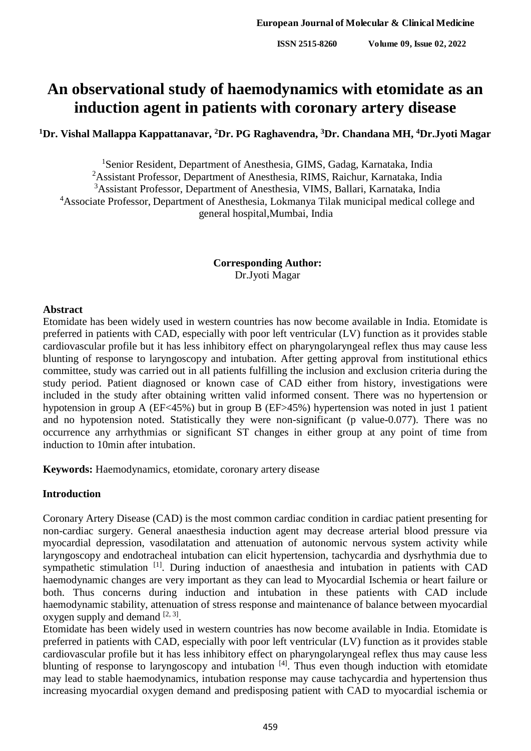# **An observational study of haemodynamics with etomidate as an induction agent in patients with coronary artery disease**

## **<sup>1</sup>Dr. Vishal Mallappa Kappattanavar, <sup>2</sup>Dr. PG Raghavendra, <sup>3</sup>Dr. Chandana MH, <sup>4</sup>Dr.Jyoti Magar**

<sup>1</sup>Senior Resident, Department of Anesthesia, GIMS, Gadag, Karnataka, India <sup>2</sup>Assistant Professor, Department of Anesthesia, RIMS, Raichur, Karnataka, India <sup>3</sup>Assistant Professor, Department of Anesthesia, VIMS, Ballari, Karnataka, India <sup>4</sup>Associate Professor, Department of Anesthesia, Lokmanya Tilak municipal medical college and general hospital,Mumbai, India

> **Corresponding Author:** Dr.Jyoti Magar

## **Abstract**

Etomidate has been widely used in western countries has now become available in India. Etomidate is preferred in patients with CAD, especially with poor left ventricular (LV) function as it provides stable cardiovascular profile but it has less inhibitory effect on pharyngolaryngeal reflex thus may cause less blunting of response to laryngoscopy and intubation. After getting approval from institutional ethics committee, study was carried out in all patients fulfilling the inclusion and exclusion criteria during the study period. Patient diagnosed or known case of CAD either from history, investigations were included in the study after obtaining written valid informed consent. There was no hypertension or hypotension in group A (EF<45%) but in group B (EF>45%) hypertension was noted in just 1 patient and no hypotension noted. Statistically they were non-significant (p value-0.077). There was no occurrence any arrhythmias or significant ST changes in either group at any point of time from induction to 10min after intubation.

**Keywords:** Haemodynamics, etomidate, coronary artery disease

## **Introduction**

Coronary Artery Disease (CAD) is the most common cardiac condition in cardiac patient presenting for non-cardiac surgery. General anaesthesia induction agent may decrease arterial blood pressure via myocardial depression, vasodilatation and attenuation of autonomic nervous system activity while laryngoscopy and endotracheal intubation can elicit hypertension, tachycardia and dysrhythmia due to sympathetic stimulation <sup>[1]</sup>. During induction of anaesthesia and intubation in patients with CAD haemodynamic changes are very important as they can lead to Myocardial Ischemia or heart failure or both. Thus concerns during induction and intubation in these patients with CAD include haemodynamic stability, attenuation of stress response and maintenance of balance between myocardial oxygen supply and demand  $[2, 3]$ .

Etomidate has been widely used in western countries has now become available in India. Etomidate is preferred in patients with CAD, especially with poor left ventricular (LV) function as it provides stable cardiovascular profile but it has less inhibitory effect on pharyngolaryngeal reflex thus may cause less blunting of response to laryngoscopy and intubation <sup>[4]</sup>. Thus even though induction with etomidate may lead to stable haemodynamics, intubation response may cause tachycardia and hypertension thus increasing myocardial oxygen demand and predisposing patient with CAD to myocardial ischemia or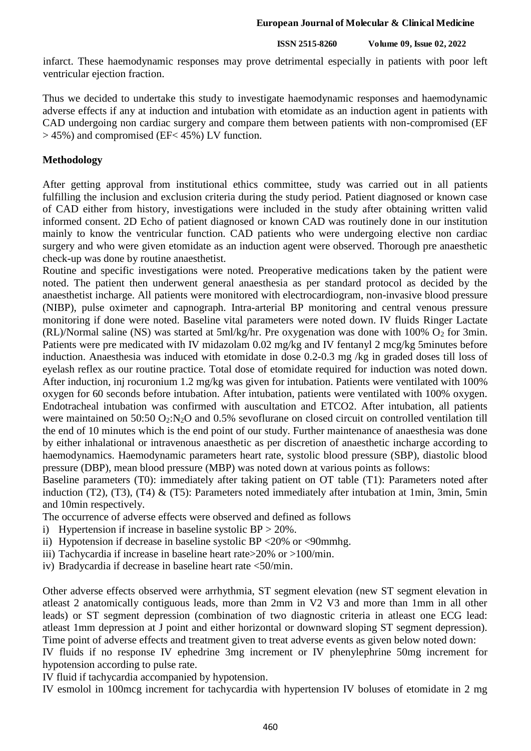infarct. These haemodynamic responses may prove detrimental especially in patients with poor left ventricular ejection fraction.

Thus we decided to undertake this study to investigate haemodynamic responses and haemodynamic adverse effects if any at induction and intubation with etomidate as an induction agent in patients with CAD undergoing non cardiac surgery and compare them between patients with non-compromised (EF > 45%) and compromised (EF< 45%) LV function.

### **Methodology**

After getting approval from institutional ethics committee, study was carried out in all patients fulfilling the inclusion and exclusion criteria during the study period. Patient diagnosed or known case of CAD either from history, investigations were included in the study after obtaining written valid informed consent. 2D Echo of patient diagnosed or known CAD was routinely done in our institution mainly to know the ventricular function. CAD patients who were undergoing elective non cardiac surgery and who were given etomidate as an induction agent were observed. Thorough pre anaesthetic check-up was done by routine anaesthetist.

Routine and specific investigations were noted. Preoperative medications taken by the patient were noted. The patient then underwent general anaesthesia as per standard protocol as decided by the anaesthetist incharge. All patients were monitored with electrocardiogram, non-invasive blood pressure (NIBP), pulse oximeter and capnograph. Intra-arterial BP monitoring and central venous pressure monitoring if done were noted. Baseline vital parameters were noted down. IV fluids Ringer Lactate (RL)/Normal saline (NS) was started at  $5ml/kg/hr$ . Pre oxygenation was done with 100% O<sub>2</sub> for 3min. Patients were pre medicated with IV midazolam 0.02 mg/kg and IV fentanyl 2 mcg/kg 5minutes before induction. Anaesthesia was induced with etomidate in dose 0.2-0.3 mg /kg in graded doses till loss of eyelash reflex as our routine practice. Total dose of etomidate required for induction was noted down. After induction, inj rocuronium 1.2 mg/kg was given for intubation. Patients were ventilated with 100% oxygen for 60 seconds before intubation. After intubation, patients were ventilated with 100% oxygen. Endotracheal intubation was confirmed with auscultation and ETCO2. After intubation, all patients were maintained on 50:50  $O_2:N_2O$  and 0.5% sevoflurane on closed circuit on controlled ventilation till the end of 10 minutes which is the end point of our study. Further maintenance of anaesthesia was done by either inhalational or intravenous anaesthetic as per discretion of anaesthetic incharge according to haemodynamics. Haemodynamic parameters heart rate, systolic blood pressure (SBP), diastolic blood pressure (DBP), mean blood pressure (MBP) was noted down at various points as follows:

Baseline parameters (T0): immediately after taking patient on OT table (T1): Parameters noted after induction (T2), (T3), (T4) & (T5): Parameters noted immediately after intubation at 1min, 3min, 5min and 10min respectively.

The occurrence of adverse effects were observed and defined as follows

- i) Hypertension if increase in baseline systolic BP > 20%.
- ii) Hypotension if decrease in baseline systolic BP <20% or <90mmhg.
- iii) Tachycardia if increase in baseline heart rate>20% or >100/min.
- iv) Bradycardia if decrease in baseline heart rate <50/min.

Other adverse effects observed were arrhythmia, ST segment elevation (new ST segment elevation in atleast 2 anatomically contiguous leads, more than 2mm in V2 V3 and more than 1mm in all other leads) or ST segment depression (combination of two diagnostic criteria in atleast one ECG lead: atleast 1mm depression at J point and either horizontal or downward sloping ST segment depression). Time point of adverse effects and treatment given to treat adverse events as given below noted down:

IV fluids if no response IV ephedrine 3mg increment or IV phenylephrine 50mg increment for hypotension according to pulse rate.

IV fluid if tachycardia accompanied by hypotension.

IV esmolol in 100mcg increment for tachycardia with hypertension IV boluses of etomidate in 2 mg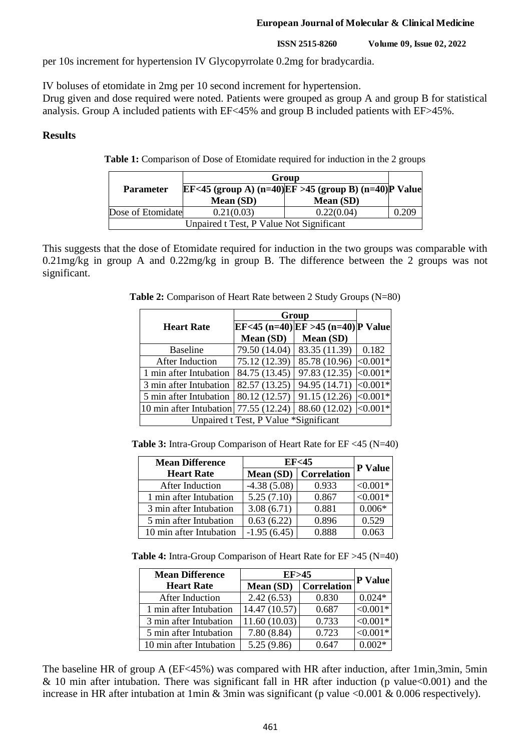#### **European Journal of Molecular & Clinical Medicine**

**ISSN 2515-8260 Volume 09, Issue 02, 2022**

per 10s increment for hypertension IV Glycopyrrolate 0.2mg for bradycardia.

IV boluses of etomidate in 2mg per 10 second increment for hypertension.

Drug given and dose required were noted. Patients were grouped as group A and group B for statistical analysis. Group A included patients with EF<45% and group B included patients with EF>45%.

## **Results**

**Table 1:** Comparison of Dose of Etomidate required for induction in the 2 groups

|                                          |            | Group                                                |       |  |
|------------------------------------------|------------|------------------------------------------------------|-------|--|
| <b>Parameter</b>                         |            | EF<45 (group A) (n=40)EF >45 (group B) (n=40)P Value |       |  |
|                                          | Mean (SD)  | Mean (SD)                                            |       |  |
| Dose of Etomidate                        | 0.21(0.03) | 0.22(0.04)                                           | 0.209 |  |
| Unpaired t Test, P Value Not Significant |            |                                                      |       |  |

This suggests that the dose of Etomidate required for induction in the two groups was comparable with 0.21mg/kg in group A and 0.22mg/kg in group B. The difference between the 2 groups was not significant.

**Table 2:** Comparison of Heart Rate between 2 Study Groups (N=80)

|                         |                                       | Group                                   |            |  |  |
|-------------------------|---------------------------------------|-----------------------------------------|------------|--|--|
| <b>Heart Rate</b>       |                                       | $EF < 45$ (n=40) EF > 45 (n=40) P Value |            |  |  |
|                         | Mean (SD)                             | Mean (SD)                               |            |  |  |
| <b>Baseline</b>         | 79.50 (14.04)                         | 83.35 (11.39)                           | 0.182      |  |  |
| After Induction         | 75.12 (12.39)                         | 85.78 (10.96)                           | $<0.001*$  |  |  |
| 1 min after Intubation  | 84.75 (13.45)                         | 97.83 (12.35)                           | $< 0.001*$ |  |  |
| 3 min after Intubation  | 82.57 (13.25)                         | 94.95 (14.71)                           | $< 0.001*$ |  |  |
| 5 min after Intubation  | 80.12 (12.57)                         | 91.15 (12.26)                           | $<0.001*$  |  |  |
| 10 min after Intubation | 77.55 (12.24)                         | 88.60 (12.02)                           | $< 0.001*$ |  |  |
|                         | Unpaired t Test, P Value *Significant |                                         |            |  |  |

**Table 3:** Intra-Group Comparison of Heart Rate for EF <45 (N=40)

| <b>Mean Difference</b>  | EF<45         |                    | <b>P</b> Value |
|-------------------------|---------------|--------------------|----------------|
| <b>Heart Rate</b>       | Mean (SD)     | <b>Correlation</b> |                |
| After Induction         | $-4.38(5.08)$ | 0.933              | $< 0.001*$     |
| 1 min after Intubation  | 5.25(7.10)    | 0.867              | $< 0.001*$     |
| 3 min after Intubation  | 3.08(6.71)    | 0.881              | $0.006*$       |
| 5 min after Intubation  | 0.63(6.22)    | 0.896              | 0.529          |
| 10 min after Intubation | $-1.95(6.45)$ | 0.888              | 0.063          |

**Table 4:** Intra-Group Comparison of Heart Rate for EF >45 (N=40)

| <b>Mean Difference</b>  | EF > 45       |                    |                |
|-------------------------|---------------|--------------------|----------------|
| <b>Heart Rate</b>       | Mean (SD)     | <b>Correlation</b> | <b>P</b> Value |
| After Induction         | 2.42(6.53)    | 0.830              | $0.024*$       |
| 1 min after Intubation  | 14.47 (10.57) | 0.687              | $< 0.001*$     |
| 3 min after Intubation  | 11.60(10.03)  | 0.733              | $< 0.001*$     |
| 5 min after Intubation  | 7.80(8.84)    | 0.723              | $< 0.001*$     |
| 10 min after Intubation | 5.25(9.86)    | 0.647              | $0.002*$       |

The baseline HR of group A (EF<45%) was compared with HR after induction, after 1min,3min, 5min  $& 10$  min after intubation. There was significant fall in HR after induction (p value $& 0.001$ ) and the increase in HR after intubation at 1min & 3min was significant (p value <0.001 & 0.006 respectively).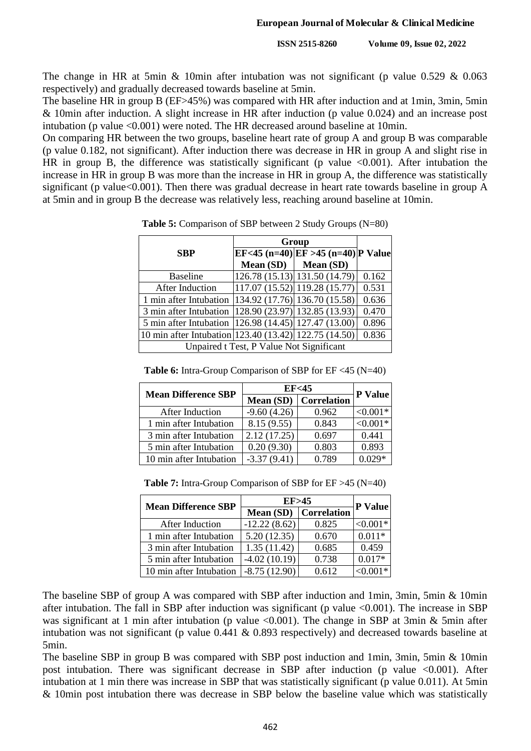The change in HR at 5min & 10min after intubation was not significant (p value  $0.529 \& 0.063$ respectively) and gradually decreased towards baseline at 5min.

The baseline HR in group B (EF>45%) was compared with HR after induction and at 1min, 3min, 5min & 10min after induction. A slight increase in HR after induction (p value 0.024) and an increase post intubation (p value <0.001) were noted. The HR decreased around baseline at 10min.

On comparing HR between the two groups, baseline heart rate of group A and group B was comparable (p value 0.182, not significant). After induction there was decrease in HR in group A and slight rise in HR in group B, the difference was statistically significant (p value  $\leq 0.001$ ). After intubation the increase in HR in group B was more than the increase in HR in group A, the difference was statistically significant (p value<0.001). Then there was gradual decrease in heart rate towards baseline in group A at 5min and in group B the decrease was relatively less, reaching around baseline at 10min.

|                                                          |                                          | Group                                                         |       |
|----------------------------------------------------------|------------------------------------------|---------------------------------------------------------------|-------|
| <b>SBP</b>                                               |                                          | $EF < 45$ (n=40) EF > 45 (n=40) P Value                       |       |
|                                                          | <b>Mean (SD)</b>                         | Mean (SD)                                                     |       |
| <b>Baseline</b>                                          |                                          | 126.78 (15.13) 131.50 (14.79)                                 | 0.162 |
| After Induction                                          |                                          | $\left  117.07 \right  (15.52) \left  119.28 \right  (15.77)$ | 0.531 |
| 1 min after Intubation   134.92 (17.76)   136.70 (15.58) |                                          |                                                               | 0.636 |
| 3 min after Intubation (128.90 (23.97) 132.85 (13.93)    |                                          |                                                               | 0.470 |
| 5 min after Intubation   126.98 (14.45)   127.47 (13.00) |                                          |                                                               | 0.896 |
| 10 min after Intubation 123.40 (13.42) 122.75 (14.50)    |                                          |                                                               | 0.836 |
|                                                          | Unpaired t Test, P Value Not Significant |                                                               |       |

**Table 5:** Comparison of SBP between 2 Study Groups (N=80)

| <b>Table 6:</b> Intra-Group Comparison of SBP for $EF \leq 45$ (N=40) |
|-----------------------------------------------------------------------|
|-----------------------------------------------------------------------|

| <b>Mean Difference SBP</b> | EF <sub>45</sub> |                       | P Value    |
|----------------------------|------------------|-----------------------|------------|
|                            |                  | Mean (SD) Correlation |            |
| After Induction            | $-9.60(4.26)$    | 0.962                 | $< 0.001*$ |
| 1 min after Intubation     | 8.15(9.55)       | 0.843                 | $< 0.001*$ |
| 3 min after Intubation     | 2.12(17.25)      | 0.697                 | 0.441      |
| 5 min after Intubation     | 0.20(9.30)       | 0.803                 | 0.893      |
| 10 min after Intubation    | $-3.37(9.41)$    | 0.789                 | 0.029*     |

**Table 7:** Intra-Group Comparison of SBP for EF >45 (N=40)

| <b>Mean Difference SBP</b> | EF > 45               |       | <b>P</b> Value |
|----------------------------|-----------------------|-------|----------------|
|                            | Mean (SD) Correlation |       |                |
| After Induction            | $-12.22(8.62)$        | 0.825 | $< 0.001*$     |
| 1 min after Intubation     | 5.20(12.35)           | 0.670 | $0.011*$       |
| 3 min after Intubation     | 1.35(11.42)           | 0.685 | 0.459          |
| 5 min after Intubation     | $-4.02(10.19)$        | 0.738 | $0.017*$       |
| 10 min after Intubation    | $-8.75(12.90)$        | 0.612 | $< 0.001*$     |

The baseline SBP of group A was compared with SBP after induction and 1min, 3min, 5min & 10min after intubation. The fall in SBP after induction was significant (p value <0.001). The increase in SBP was significant at 1 min after intubation (p value  $\langle 0.001 \rangle$ ). The change in SBP at 3min & 5min after intubation was not significant (p value 0.441 & 0.893 respectively) and decreased towards baseline at 5min.

The baseline SBP in group B was compared with SBP post induction and 1min, 3min, 5min & 10min post intubation. There was significant decrease in SBP after induction (p value  $\leq 0.001$ ). After intubation at 1 min there was increase in SBP that was statistically significant (p value 0.011). At 5min & 10min post intubation there was decrease in SBP below the baseline value which was statistically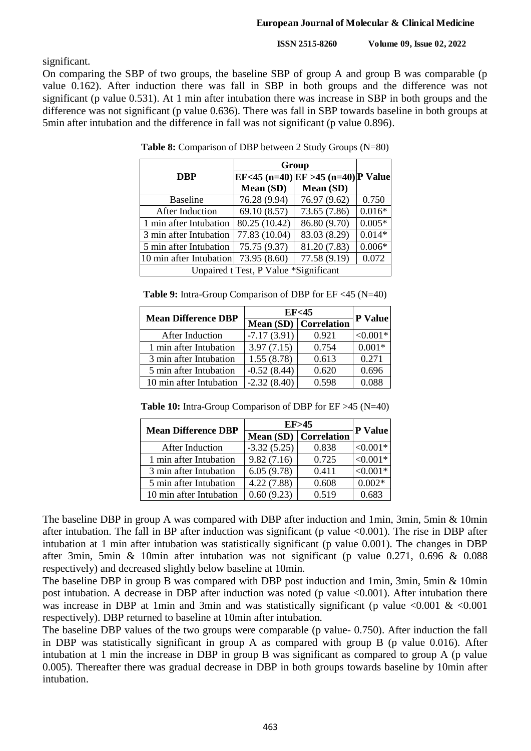significant.

On comparing the SBP of two groups, the baseline SBP of group A and group B was comparable (p value 0.162). After induction there was fall in SBP in both groups and the difference was not significant (p value 0.531). At 1 min after intubation there was increase in SBP in both groups and the difference was not significant (p value 0.636). There was fall in SBP towards baseline in both groups at 5min after intubation and the difference in fall was not significant (p value 0.896).

|                         | Group                                 |                                    |          |  |  |
|-------------------------|---------------------------------------|------------------------------------|----------|--|--|
| <b>DBP</b>              |                                       | EF<45 (n=40) EF >45 (n=40) P Value |          |  |  |
|                         | Mean (SD)                             | Mean (SD)                          |          |  |  |
| <b>Baseline</b>         | 76.28 (9.94)                          | 76.97 (9.62)                       | 0.750    |  |  |
| After Induction         | 69.10 (8.57)                          | 73.65 (7.86)                       | $0.016*$ |  |  |
| 1 min after Intubation  | 80.25 (10.42)                         | 86.80 (9.70)                       | $0.005*$ |  |  |
| 3 min after Intubation  | 77.83 (10.04)                         | 83.03 (8.29)                       | $0.014*$ |  |  |
| 5 min after Intubation  | 75.75 (9.37)                          | 81.20 (7.83)                       | $0.006*$ |  |  |
| 10 min after Intubation | 73.95 (8.60)                          | 77.58 (9.19)                       | 0.072    |  |  |
|                         | Unpaired t Test, P Value *Significant |                                    |          |  |  |

**Table 8:** Comparison of DBP between 2 Study Groups (N=80)

| <b>Table 9:</b> Intra-Group Comparison of DBP for $EF < 45$ (N=40) |  |  |
|--------------------------------------------------------------------|--|--|
|                                                                    |  |  |

| <b>Mean Difference DBP</b> | EF <sub>45</sub> |                         |                |
|----------------------------|------------------|-------------------------|----------------|
|                            |                  | Mean $(SD)$ Correlation | <b>P</b> Value |
| After Induction            | $-7.17(3.91)$    | 0.921                   | $< 0.001*$     |
| 1 min after Intubation     | 3.97(7.15)       | 0.754                   | $0.001*$       |
| 3 min after Intubation     | 1.55(8.78)       | 0.613                   | 0.271          |
| 5 min after Intubation     | $-0.52(8.44)$    | 0.620                   | 0.696          |
| 10 min after Intubation    | $-2.32(8.40)$    | 0.598                   | 0.088          |

**Table 10:** Intra-Group Comparison of DBP for EF >45 (N=40)

| <b>Mean Difference DBP</b> | EF > 45       |                         | <b>P</b> Value |
|----------------------------|---------------|-------------------------|----------------|
|                            |               | Mean $(SD)$ Correlation |                |
| After Induction            | $-3.32(5.25)$ | 0.838                   | $< 0.001*$     |
| 1 min after Intubation     | 9.82(7.16)    | 0.725                   | $< 0.001*$     |
| 3 min after Intubation     | 6.05(9.78)    | 0.411                   | $< 0.001*$     |
| 5 min after Intubation     | 4.22(7.88)    | 0.608                   | $0.002*$       |
| 10 min after Intubation    | 0.60(9.23)    | 0.519                   | 0.683          |

The baseline DBP in group A was compared with DBP after induction and 1min, 3min, 5min & 10min after intubation. The fall in BP after induction was significant (p value  $<0.001$ ). The rise in DBP after intubation at 1 min after intubation was statistically significant (p value 0.001). The changes in DBP after 3min, 5min & 10min after intubation was not significant (p value 0.271, 0.696 & 0.088 respectively) and decreased slightly below baseline at 10min.

The baseline DBP in group B was compared with DBP post induction and 1min, 3min, 5min & 10min post intubation. A decrease in DBP after induction was noted (p value <0.001). After intubation there was increase in DBP at 1min and 3min and was statistically significant (p value  $\leq 0.001 \& \leq 0.001$ respectively). DBP returned to baseline at 10min after intubation.

The baseline DBP values of the two groups were comparable (p value- 0.750). After induction the fall in DBP was statistically significant in group A as compared with group B (p value 0.016). After intubation at 1 min the increase in DBP in group B was significant as compared to group A (p value 0.005). Thereafter there was gradual decrease in DBP in both groups towards baseline by 10min after intubation.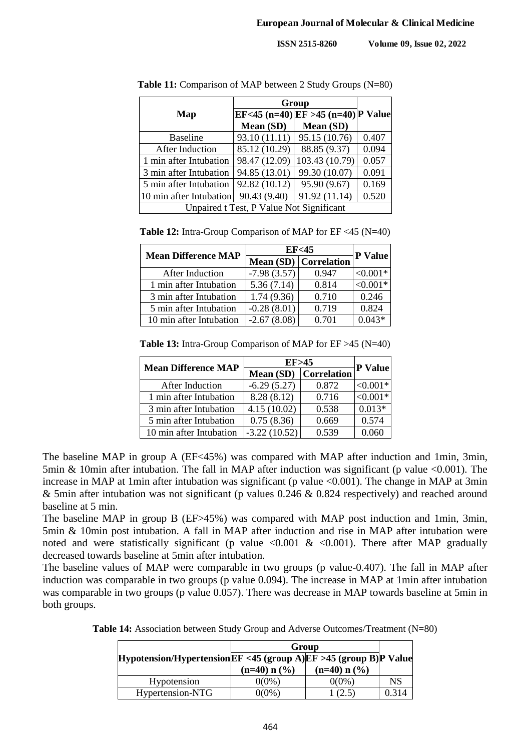|                                          | Group         |                                    |       |
|------------------------------------------|---------------|------------------------------------|-------|
| Map                                      |               | EF<45 (n=40) EF >45 (n=40) P Value |       |
|                                          | Mean (SD)     | Mean (SD)                          |       |
| <b>Baseline</b>                          | 93.10 (11.11) | 95.15 (10.76)                      | 0.407 |
| After Induction                          | 85.12 (10.29) | 88.85 (9.37)                       | 0.094 |
| 1 min after Intubation                   | 98.47 (12.09) | 103.43 (10.79)                     | 0.057 |
| 3 min after Intubation                   | 94.85 (13.01) | 99.30 (10.07)                      | 0.091 |
| 5 min after Intubation                   | 92.82 (10.12) | 95.90 (9.67)                       | 0.169 |
| 10 min after Intubation                  | 90.43 (9.40)  | 91.92 (11.14)                      | 0.520 |
| Unpaired t Test, P Value Not Significant |               |                                    |       |

**Table 11:** Comparison of MAP between 2 Study Groups (N=80)

**Table 12:** Intra-Group Comparison of MAP for EF <45 (N=40)

| <b>Mean Difference MAP</b> | EF<45         |                       | P Value    |
|----------------------------|---------------|-----------------------|------------|
|                            |               | Mean (SD) Correlation |            |
| After Induction            | $-7.98(3.57)$ | 0.947                 | $< 0.001*$ |
| 1 min after Intubation     | 5.36(7.14)    | 0.814                 | $< 0.001*$ |
| 3 min after Intubation     | 1.74(9.36)    | 0.710                 | 0.246      |
| 5 min after Intubation     | $-0.28(8.01)$ | 0.719                 | 0.824      |
| 10 min after Intubation    | $-2.67(8.08)$ | 0.701                 | $0.043*$   |

**Table 13:** Intra-Group Comparison of MAP for EF >45 (N=40)

| <b>Mean Difference MAP</b> | EF > 45        |                    |            |
|----------------------------|----------------|--------------------|------------|
|                            | Mean (SD)      | <b>Correlation</b> | P Value    |
| After Induction            | $-6.29(5.27)$  | 0.872              | $< 0.001*$ |
| 1 min after Intubation     | 8.28(8.12)     | 0.716              | $< 0.001*$ |
| 3 min after Intubation     | 4.15(10.02)    | 0.538              | $0.013*$   |
| 5 min after Intubation     | 0.75(8.36)     | 0.669              | 0.574      |
| 10 min after Intubation    | $-3.22(10.52)$ | 0.539              | 0 060      |

The baseline MAP in group A (EF<45%) was compared with MAP after induction and 1min, 3min, 5min & 10min after intubation. The fall in MAP after induction was significant (p value <0.001). The increase in MAP at 1min after intubation was significant (p value  $\langle 0.001 \rangle$ ). The change in MAP at 3min & 5min after intubation was not significant (p values 0.246 & 0.824 respectively) and reached around baseline at 5 min.

The baseline MAP in group B (EF>45%) was compared with MAP post induction and 1min, 3min, 5min & 10min post intubation. A fall in MAP after induction and rise in MAP after intubation were noted and were statistically significant (p value  $\langle 0.001 \& \langle 0.001 \rangle$ ). There after MAP gradually decreased towards baseline at 5min after intubation.

The baseline values of MAP were comparable in two groups (p value-0.407). The fall in MAP after induction was comparable in two groups (p value 0.094). The increase in MAP at 1min after intubation was comparable in two groups (p value 0.057). There was decrease in MAP towards baseline at 5min in both groups.

|                                                                    | Group          |                            |       |
|--------------------------------------------------------------------|----------------|----------------------------|-------|
| Hypotension/Hypertension EF <45 (group A) EF >45 (group B) P Value |                |                            |       |
|                                                                    | $(n=40) n (%)$ | $(n=40)$ n $(\frac{6}{6})$ |       |
| Hypotension                                                        | $0(0\%)$       | $0(0\%)$                   | NS    |
| Hypertension-NTG                                                   | 0(0%)          |                            | 0.314 |

**Table 14:** Association between Study Group and Adverse Outcomes/Treatment (N=80)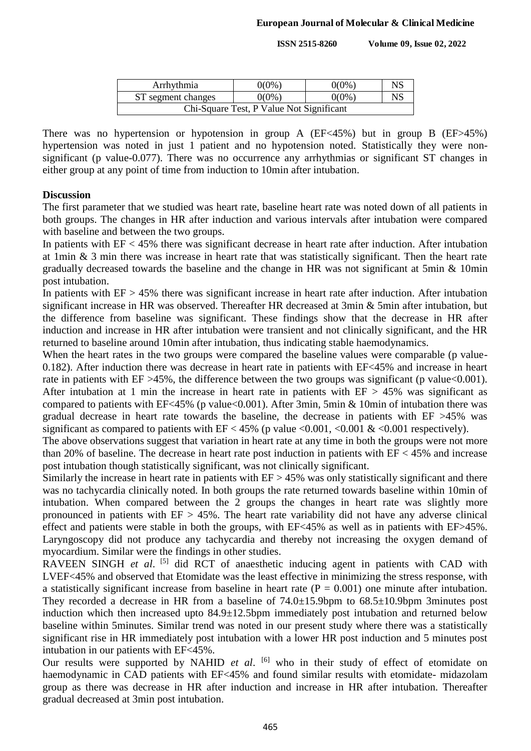| Arrhythmia                               | 0(0%) | 0(0%)    | <b>NS</b> |
|------------------------------------------|-------|----------|-----------|
| ST segment changes                       | 0(0%) | $0(0\%)$ | NS        |
| Chi-Square Test, P Value Not Significant |       |          |           |

There was no hypertension or hypotension in group A (EF<45%) but in group B (EF>45%) hypertension was noted in just 1 patient and no hypotension noted. Statistically they were nonsignificant (p value-0.077). There was no occurrence any arrhythmias or significant ST changes in either group at any point of time from induction to 10min after intubation.

#### **Discussion**

The first parameter that we studied was heart rate, baseline heart rate was noted down of all patients in both groups. The changes in HR after induction and various intervals after intubation were compared with baseline and between the two groups.

In patients with  $EF < 45\%$  there was significant decrease in heart rate after induction. After intubation at 1min & 3 min there was increase in heart rate that was statistically significant. Then the heart rate gradually decreased towards the baseline and the change in HR was not significant at 5min & 10min post intubation.

In patients with  $EF > 45\%$  there was significant increase in heart rate after induction. After intubation significant increase in HR was observed. Thereafter HR decreased at 3min & 5min after intubation, but the difference from baseline was significant. These findings show that the decrease in HR after induction and increase in HR after intubation were transient and not clinically significant, and the HR returned to baseline around 10min after intubation, thus indicating stable haemodynamics.

When the heart rates in the two groups were compared the baseline values were comparable (p value-0.182). After induction there was decrease in heart rate in patients with EF<45% and increase in heart rate in patients with  $EF > 45\%$ , the difference between the two groups was significant (p value < 0.001). After intubation at 1 min the increase in heart rate in patients with  $EF > 45\%$  was significant as compared to patients with EF<45% (p value<0.001). After 3min, 5min & 10min of intubation there was gradual decrease in heart rate towards the baseline, the decrease in patients with EF >45% was significant as compared to patients with  $EF < 45\%$  (p value  $< 0.001$ ,  $< 0.001 \& 0.001$  respectively).

The above observations suggest that variation in heart rate at any time in both the groups were not more than 20% of baseline. The decrease in heart rate post induction in patients with EF < 45% and increase post intubation though statistically significant, was not clinically significant.

Similarly the increase in heart rate in patients with EF > 45% was only statistically significant and there was no tachycardia clinically noted. In both groups the rate returned towards baseline within 10min of intubation. When compared between the 2 groups the changes in heart rate was slightly more pronounced in patients with  $EF > 45\%$ . The heart rate variability did not have any adverse clinical effect and patients were stable in both the groups, with EF<45% as well as in patients with EF>45%. Laryngoscopy did not produce any tachycardia and thereby not increasing the oxygen demand of myocardium. Similar were the findings in other studies.

RAVEEN SINGH et al. [5] did RCT of anaesthetic inducing agent in patients with CAD with LVEF<45% and observed that Etomidate was the least effective in minimizing the stress response, with a statistically significant increase from baseline in heart rate  $(P = 0.001)$  one minute after intubation. They recorded a decrease in HR from a baseline of 74.0±15.9bpm to 68.5±10.9bpm 3minutes post induction which then increased upto 84.9±12.5bpm immediately post intubation and returned below baseline within 5minutes. Similar trend was noted in our present study where there was a statistically significant rise in HR immediately post intubation with a lower HR post induction and 5 minutes post intubation in our patients with EF<45%.

Our results were supported by NAHID *et al.* <sup>[6]</sup> who in their study of effect of etomidate on haemodynamic in CAD patients with EF<45% and found similar results with etomidate- midazolam group as there was decrease in HR after induction and increase in HR after intubation. Thereafter gradual decreased at 3min post intubation.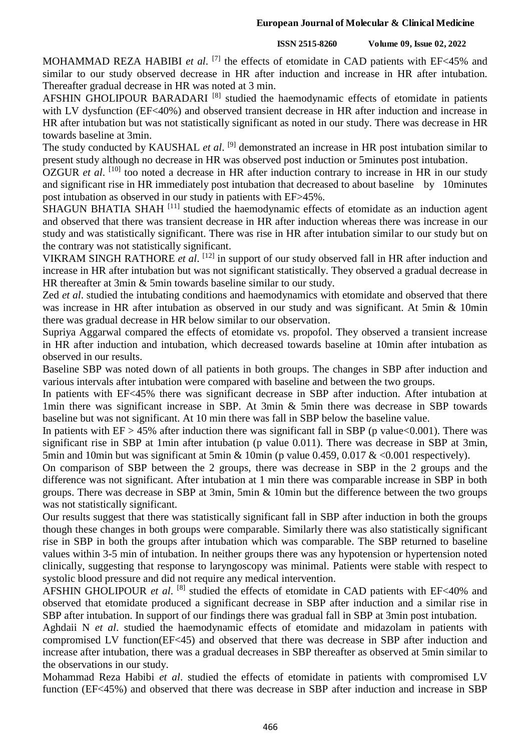MOHAMMAD REZA HABIBI *et al.* <sup>[7]</sup> the effects of etomidate in CAD patients with EF<45% and similar to our study observed decrease in HR after induction and increase in HR after intubation. Thereafter gradual decrease in HR was noted at 3 min.

AFSHIN GHOLIPOUR BARADARI<sup>[8]</sup> studied the haemodynamic effects of etomidate in patients with LV dysfunction (EF<40%) and observed transient decrease in HR after induction and increase in HR after intubation but was not statistically significant as noted in our study. There was decrease in HR towards baseline at 3min.

The study conducted by KAUSHAL *et al*.<sup>[9]</sup> demonstrated an increase in HR post intubation similar to present study although no decrease in HR was observed post induction or 5minutes post intubation.

OZGUR *et al.* <sup>[10]</sup> too noted a decrease in HR after induction contrary to increase in HR in our study and significant rise in HR immediately post intubation that decreased to about baseline by 10minutes post intubation as observed in our study in patients with EF>45%.

SHAGUN BHATIA SHAH<sup>[11]</sup> studied the haemodynamic effects of etomidate as an induction agent and observed that there was transient decrease in HR after induction whereas there was increase in our study and was statistically significant. There was rise in HR after intubation similar to our study but on the contrary was not statistically significant.

VIKRAM SINGH RATHORE et al. <sup>[12]</sup> in support of our study observed fall in HR after induction and increase in HR after intubation but was not significant statistically. They observed a gradual decrease in HR thereafter at 3min & 5min towards baseline similar to our study.

Zed *et al*. studied the intubating conditions and haemodynamics with etomidate and observed that there was increase in HR after intubation as observed in our study and was significant. At 5min & 10min there was gradual decrease in HR below similar to our observation.

Supriya Aggarwal compared the effects of etomidate vs. propofol. They observed a transient increase in HR after induction and intubation, which decreased towards baseline at 10min after intubation as observed in our results.

Baseline SBP was noted down of all patients in both groups. The changes in SBP after induction and various intervals after intubation were compared with baseline and between the two groups.

In patients with EF<45% there was significant decrease in SBP after induction. After intubation at 1min there was significant increase in SBP. At 3min & 5min there was decrease in SBP towards baseline but was not significant. At 10 min there was fall in SBP below the baseline value.

In patients with  $EF > 45\%$  after induction there was significant fall in SBP (p value < 0.001). There was significant rise in SBP at 1min after intubation (p value 0.011). There was decrease in SBP at 3min, 5min and 10min but was significant at 5min & 10min (p value 0.459, 0.017 & <0.001 respectively).

On comparison of SBP between the 2 groups, there was decrease in SBP in the 2 groups and the difference was not significant. After intubation at 1 min there was comparable increase in SBP in both groups. There was decrease in SBP at 3min, 5min & 10min but the difference between the two groups was not statistically significant.

Our results suggest that there was statistically significant fall in SBP after induction in both the groups though these changes in both groups were comparable. Similarly there was also statistically significant rise in SBP in both the groups after intubation which was comparable. The SBP returned to baseline values within 3-5 min of intubation. In neither groups there was any hypotension or hypertension noted clinically, suggesting that response to laryngoscopy was minimal. Patients were stable with respect to systolic blood pressure and did not require any medical intervention.

AFSHIN GHOLIPOUR et al. <sup>[8]</sup> studied the effects of etomidate in CAD patients with EF<40% and observed that etomidate produced a significant decrease in SBP after induction and a similar rise in SBP after intubation. In support of our findings there was gradual fall in SBP at 3min post intubation.

Aghdaii N *et al*. studied the haemodynamic effects of etomidate and midazolam in patients with compromised LV function(EF<45) and observed that there was decrease in SBP after induction and increase after intubation, there was a gradual decreases in SBP thereafter as observed at 5min similar to the observations in our study.

Mohammad Reza Habibi *et al*. studied the effects of etomidate in patients with compromised LV function (EF<45%) and observed that there was decrease in SBP after induction and increase in SBP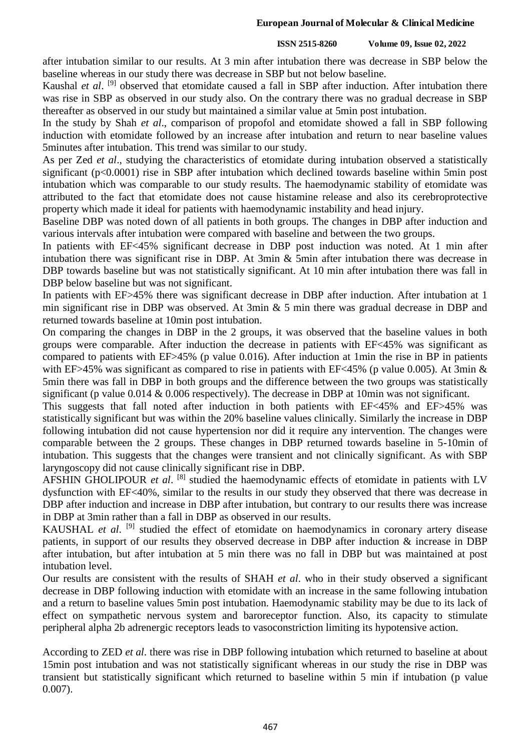#### **European Journal of Molecular & Clinical Medicine**

#### **ISSN 2515-8260 Volume 09, Issue 02, 2022**

after intubation similar to our results. At 3 min after intubation there was decrease in SBP below the baseline whereas in our study there was decrease in SBP but not below baseline.

Kaushal *et al.* <sup>[9]</sup> observed that etomidate caused a fall in SBP after induction. After intubation there was rise in SBP as observed in our study also. On the contrary there was no gradual decrease in SBP thereafter as observed in our study but maintained a similar value at 5min post intubation.

In the study by Shah *et al*., comparison of propofol and etomidate showed a fall in SBP following induction with etomidate followed by an increase after intubation and return to near baseline values 5minutes after intubation. This trend was similar to our study.

As per Zed *et al*., studying the characteristics of etomidate during intubation observed a statistically significant (p<0.0001) rise in SBP after intubation which declined towards baseline within 5min post intubation which was comparable to our study results. The haemodynamic stability of etomidate was attributed to the fact that etomidate does not cause histamine release and also its cerebroprotective property which made it ideal for patients with haemodynamic instability and head injury.

Baseline DBP was noted down of all patients in both groups. The changes in DBP after induction and various intervals after intubation were compared with baseline and between the two groups.

In patients with EF<45% significant decrease in DBP post induction was noted. At 1 min after intubation there was significant rise in DBP. At 3min & 5min after intubation there was decrease in DBP towards baseline but was not statistically significant. At 10 min after intubation there was fall in DBP below baseline but was not significant.

In patients with EF>45% there was significant decrease in DBP after induction. After intubation at 1 min significant rise in DBP was observed. At 3min & 5 min there was gradual decrease in DBP and returned towards baseline at 10min post intubation.

On comparing the changes in DBP in the 2 groups, it was observed that the baseline values in both groups were comparable. After induction the decrease in patients with EF<45% was significant as compared to patients with EF>45% (p value 0.016). After induction at 1min the rise in BP in patients with EF>45% was significant as compared to rise in patients with EF<45% (p value 0.005). At 3min  $\&$ 5min there was fall in DBP in both groups and the difference between the two groups was statistically significant (p value 0.014 & 0.006 respectively). The decrease in DBP at 10min was not significant.

This suggests that fall noted after induction in both patients with EF<45% and EF>45% was statistically significant but was within the 20% baseline values clinically. Similarly the increase in DBP following intubation did not cause hypertension nor did it require any intervention. The changes were comparable between the 2 groups. These changes in DBP returned towards baseline in 5-10min of intubation. This suggests that the changes were transient and not clinically significant. As with SBP laryngoscopy did not cause clinically significant rise in DBP.

AFSHIN GHOLIPOUR et al. <sup>[8]</sup> studied the haemodynamic effects of etomidate in patients with LV dysfunction with EF<40%, similar to the results in our study they observed that there was decrease in DBP after induction and increase in DBP after intubation, but contrary to our results there was increase in DBP at 3min rather than a fall in DBP as observed in our results.

KAUSHAL et al. <sup>[9]</sup> studied the effect of etomidate on haemodynamics in coronary artery disease patients, in support of our results they observed decrease in DBP after induction & increase in DBP after intubation, but after intubation at 5 min there was no fall in DBP but was maintained at post intubation level.

Our results are consistent with the results of SHAH *et al*. who in their study observed a significant decrease in DBP following induction with etomidate with an increase in the same following intubation and a return to baseline values 5min post intubation. Haemodynamic stability may be due to its lack of effect on sympathetic nervous system and baroreceptor function. Also, its capacity to stimulate peripheral alpha 2b adrenergic receptors leads to vasoconstriction limiting its hypotensive action.

According to ZED *et al*. there was rise in DBP following intubation which returned to baseline at about 15min post intubation and was not statistically significant whereas in our study the rise in DBP was transient but statistically significant which returned to baseline within 5 min if intubation (p value 0.007).